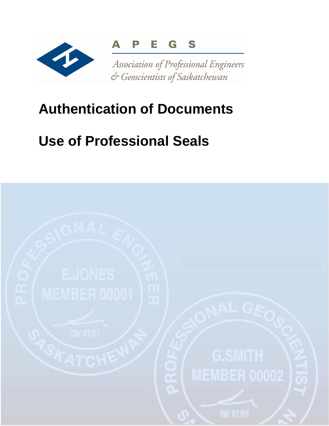

## **Authentication of Documents**

# **Use of Professional Seals**

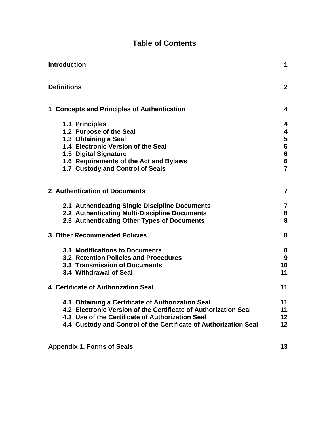## **Table of Contents**

| <b>Introduction</b> |                                                                  | 1              |
|---------------------|------------------------------------------------------------------|----------------|
|                     | <b>Definitions</b>                                               | $\mathbf{2}$   |
|                     | 1 Concepts and Principles of Authentication                      | 4              |
|                     | 1.1 Principles                                                   | 4              |
|                     | 1.2 Purpose of the Seal                                          | 4              |
|                     | 1.3 Obtaining a Seal                                             | 5              |
|                     | 1.4 Electronic Version of the Seal                               | 5              |
|                     | 1.5 Digital Signature                                            | $6\phantom{a}$ |
|                     | 1.6 Requirements of the Act and Bylaws                           | $6\phantom{a}$ |
|                     | 1.7 Custody and Control of Seals                                 | $\overline{7}$ |
|                     | 2 Authentication of Documents                                    | $\overline{7}$ |
|                     | 2.1 Authenticating Single Discipline Documents                   | $\overline{7}$ |
|                     | 2.2 Authenticating Multi-Discipline Documents                    | 8              |
|                     | 2.3 Authenticating Other Types of Documents                      | 8              |
|                     | <b>3 Other Recommended Policies</b>                              | 8              |
|                     | <b>3.1 Modifications to Documents</b>                            | 8              |
|                     | 3.2 Retention Policies and Procedures                            | 9              |
|                     | 3.3 Transmission of Documents                                    | 10             |
|                     | 3.4 Withdrawal of Seal                                           | 11             |
|                     | 4 Certificate of Authorization Seal                              | 11             |
|                     | 4.1 Obtaining a Certificate of Authorization Seal                | 11             |
|                     | 4.2 Electronic Version of the Certificate of Authorization Seal  | 11             |
|                     | 4.3 Use of the Certificate of Authorization Seal                 | 12             |
|                     | 4.4 Custody and Control of the Certificate of Authorization Seal | 12             |
|                     |                                                                  |                |

**Appendix 1, Forms of Seals 13 and 13 and 13 and 13 and 13 and 13 and 13 and 13 and 13 and 13 and 13 and 13 and 13 and 13 and 13 and 13 and 13 and 13 and 13 and 13 and 13 and 13 and 13 and 13 and 13 and 13 and 13 and 13 an**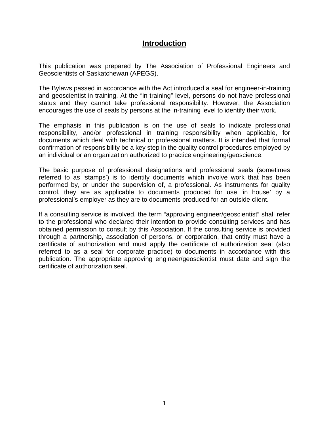## **Introduction**

This publication was prepared by The Association of Professional Engineers and Geoscientists of Saskatchewan (APEGS).

The Bylaws passed in accordance with the Act introduced a seal for engineer-in-training and geoscientist-in-training. At the "in-training" level, persons do not have professional status and they cannot take professional responsibility. However, the Association encourages the use of seals by persons at the in-training level to identify their work.

The emphasis in this publication is on the use of seals to indicate professional responsibility, and/or professional in training responsibility when applicable, for documents which deal with technical or professional matters. It is intended that formal confirmation of responsibility be a key step in the quality control procedures employed by an individual or an organization authorized to practice engineering/geoscience.

The basic purpose of professional designations and professional seals (sometimes referred to as 'stamps') is to identify documents which involve work that has been performed by, or under the supervision of, a professional. As instruments for quality control, they are as applicable to documents produced for use 'in house' by a professional's employer as they are to documents produced for an outside client.

If a consulting service is involved, the term "approving engineer/geoscientist" shall refer to the professional who declared their intention to provide consulting services and has obtained permission to consult by this Association. If the consulting service is provided through a partnership, association of persons, or corporation, that entity must have a certificate of authorization and must apply the certificate of authorization seal (also referred to as a seal for corporate practice) to documents in accordance with this publication. The appropriate approving engineer/geoscientist must date and sign the certificate of authorization seal.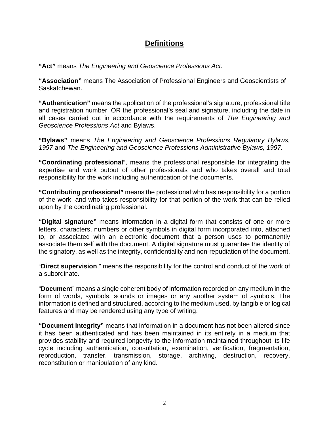## **Definitions**

**"Act"** means *The Engineering and Geoscience Professions Act.* 

**"Association"** means The Association of Professional Engineers and Geoscientists of Saskatchewan.

**"Authentication"** means the application of the professional's signature, professional title and registration number, OR the professional's seal and signature, including the date in all cases carried out in accordance with the requirements of *The Engineering and Geoscience Professions Act* and Bylaws.

**"Bylaws"** means *The Engineering and Geoscience Professions Regulatory Bylaws, 1997* and *The Engineering and Geoscience Professions Administrative Bylaws, 1997.* 

**"Coordinating professional**", means the professional responsible for integrating the expertise and work output of other professionals and who takes overall and total responsibility for the work including authentication of the documents.

**"Contributing professional"** means the professional who has responsibility for a portion of the work, and who takes responsibility for that portion of the work that can be relied upon by the coordinating professional.

**"Digital signature"** means information in a digital form that consists of one or more letters, characters, numbers or other symbols in digital form incorporated into, attached to, or associated with an electronic document that a person uses to permanently associate them self with the document. A digital signature must guarantee the identity of the signatory, as well as the integrity, confidentiality and non-repudiation of the document.

"**Direct supervision**," means the responsibility for the control and conduct of the work of a subordinate.

"**Document**" means a single coherent body of information recorded on any medium in the form of words, symbols, sounds or images or any another system of symbols. The information is defined and structured, according to the medium used, by tangible or logical features and may be rendered using any type of writing.

**"Document integrity"** means that information in a document has not been altered since it has been authenticated and has been maintained in its entirety in a medium that provides stability and required longevity to the information maintained throughout its life cycle including authentication, consultation, examination, verification, fragmentation, reproduction, transfer, transmission, storage, archiving, destruction, recovery, reconstitution or manipulation of any kind.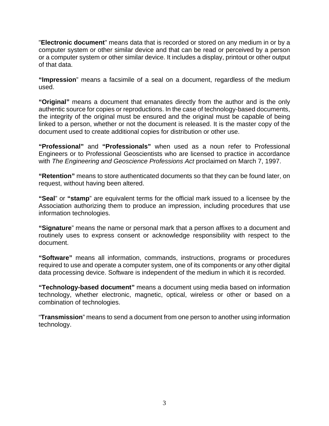"**Electronic document**" means data that is recorded or stored on any medium in or by a computer system or other similar device and that can be read or perceived by a person or a computer system or other similar device. It includes a display, printout or other output of that data.

**"Impression**" means a facsimile of a seal on a document, regardless of the medium used.

**"Original"** means a document that emanates directly from the author and is the only authentic source for copies or reproductions. In the case of technology-based documents, the integrity of the original must be ensured and the original must be capable of being linked to a person, whether or not the document is released. It is the master copy of the document used to create additional copies for distribution or other use.

**"Professional"** and **"Professionals"** when used as a noun refer to Professional Engineers or to Professional Geoscientists who are licensed to practice in accordance with *The Engineering and Geoscience Professions Act* proclaimed on March 7, 1997.

**"Retention"** means to store authenticated documents so that they can be found later, on request, without having been altered.

**"Seal**" or **"stamp**" are equivalent terms for the official mark issued to a licensee by the Association authorizing them to produce an impression, including procedures that use information technologies.

**"Signature**" means the name or personal mark that a person affixes to a document and routinely uses to express consent or acknowledge responsibility with respect to the document.

**"Software"** means all information, commands, instructions, programs or procedures required to use and operate a computer system, one of its components or any other digital data processing device. Software is independent of the medium in which it is recorded.

**"Technology-based document"** means a document using media based on information technology, whether electronic, magnetic, optical, wireless or other or based on a combination of technologies.

"**Transmission**" means to send a document from one person to another using information technology.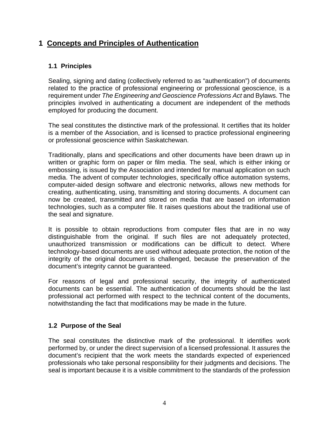## **1 Concepts and Principles of Authentication**

## **1.1 Principles**

Sealing, signing and dating (collectively referred to as "authentication") of documents related to the practice of professional engineering or professional geoscience, is a requirement under *The Engineering and Geoscience Professions Act* and Bylaws. The principles involved in authenticating a document are independent of the methods employed for producing the document.

The seal constitutes the distinctive mark of the professional. It certifies that its holder is a member of the Association, and is licensed to practice professional engineering or professional geoscience within Saskatchewan.

Traditionally, plans and specifications and other documents have been drawn up in written or graphic form on paper or film media. The seal, which is either inking or embossing, is issued by the Association and intended for manual application on such media. The advent of computer technologies, specifically office automation systems, computer-aided design software and electronic networks, allows new methods for creating, authenticating, using, transmitting and storing documents. A document can now be created, transmitted and stored on media that are based on information technologies, such as a computer file. It raises questions about the traditional use of the seal and signature.

It is possible to obtain reproductions from computer files that are in no way distinguishable from the original. If such files are not adequately protected, unauthorized transmission or modifications can be difficult to detect. Where technology-based documents are used without adequate protection, the notion of the integrity of the original document is challenged, because the preservation of the document's integrity cannot be guaranteed.

For reasons of legal and professional security, the integrity of authenticated documents can be essential. The authentication of documents should be the last professional act performed with respect to the technical content of the documents, notwithstanding the fact that modifications may be made in the future.

## **1.2 Purpose of the Seal**

The seal constitutes the distinctive mark of the professional. It identifies work performed by, or under the direct supervision of a licensed professional. It assures the document's recipient that the work meets the standards expected of experienced professionals who take personal responsibility for their judgments and decisions. The seal is important because it is a visible commitment to the standards of the profession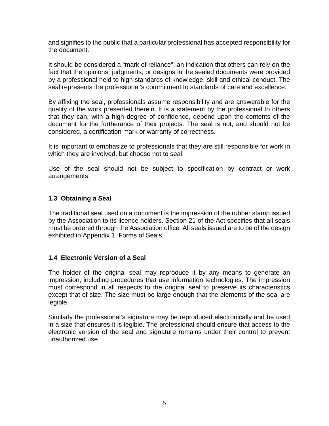and signifies to the public that a particular professional has accepted responsibility for the document.

It should be considered a "mark of reliance", an indication that others can rely on the fact that the opinions, judgments, or designs in the sealed documents were provided by a professional held to high standards of knowledge, skill and ethical conduct. The seal represents the professional's commitment to standards of care and excellence.

By affixing the seal, professionals assume responsibility and are answerable for the quality of the work presented therein. It is a statement by the professional to others that they can, with a high degree of confidence, depend upon the contents of the document for the furtherance of their projects. The seal is not, and should not be considered, a certification mark or warranty of correctness.

It is important to emphasize to professionals that they are still responsible for work in which they are involved, but choose not to seal.

Use of the seal should not be subject to specification by contract or work arrangements.

## **1.3 Obtaining a Seal**

The traditional seal used on a document is the impression of the rubber stamp issued by the Association to its licence holders. Section 21 of the Act specifies that all seals must be ordered through the Association office. All seals issued are to be of the design exhibited in Appendix 1, Forms of Seals.

#### **1.4 Electronic Version of a Seal**

The holder of the original seal may reproduce it by any means to generate an impression, including procedures that use information technologies. The impression must correspond in all respects to the original seal to preserve its characteristics except that of size. The size must be large enough that the elements of the seal are legible.

Similarly the professional's signature may be reproduced electronically and be used in a size that ensures it is legible. The professional should ensure that access to the electronic version of the seal and signature remains under their control to prevent unauthorized use.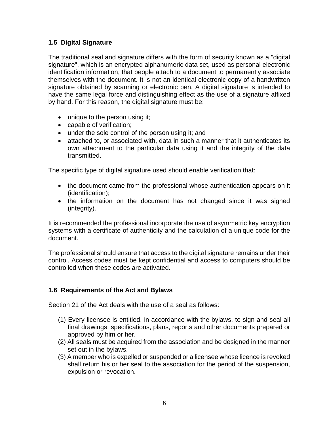## **1.5 Digital Signature**

The traditional seal and signature differs with the form of security known as a "digital signature", which is an encrypted alphanumeric data set, used as personal electronic identification information, that people attach to a document to permanently associate themselves with the document. It is not an identical electronic copy of a handwritten signature obtained by scanning or electronic pen. A digital signature is intended to have the same legal force and distinguishing effect as the use of a signature affixed by hand. For this reason, the digital signature must be:

- unique to the person using it;
- capable of verification:
- under the sole control of the person using it; and
- attached to, or associated with, data in such a manner that it authenticates its own attachment to the particular data using it and the integrity of the data transmitted.

The specific type of digital signature used should enable verification that:

- the document came from the professional whose authentication appears on it (identification);
- the information on the document has not changed since it was signed (integrity).

It is recommended the professional incorporate the use of asymmetric key encryption systems with a certificate of authenticity and the calculation of a unique code for the document.

The professional should ensure that access to the digital signature remains under their control. Access codes must be kept confidential and access to computers should be controlled when these codes are activated.

## **1.6 Requirements of the Act and Bylaws**

Section 21 of the Act deals with the use of a seal as follows:

- (1) Every licensee is entitled, in accordance with the bylaws, to sign and seal all final drawings, specifications, plans, reports and other documents prepared or approved by him or her.
- (2) All seals must be acquired from the association and be designed in the manner set out in the bylaws.
- (3) A member who is expelled or suspended or a licensee whose licence is revoked shall return his or her seal to the association for the period of the suspension, expulsion or revocation.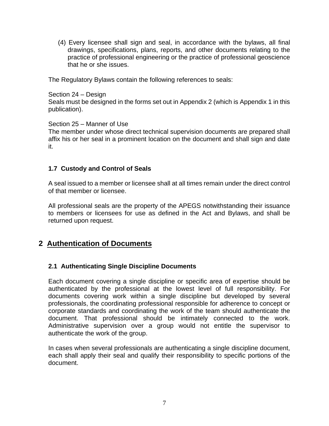(4) Every licensee shall sign and seal, in accordance with the bylaws, all final drawings, specifications, plans, reports, and other documents relating to the practice of professional engineering or the practice of professional geoscience that he or she issues.

The Regulatory Bylaws contain the following references to seals:

#### Section 24 – Design

Seals must be designed in the forms set out in Appendix 2 (which is Appendix 1 in this publication).

#### Section 25 – Manner of Use

The member under whose direct technical supervision documents are prepared shall affix his or her seal in a prominent location on the document and shall sign and date it.

#### **1.7 Custody and Control of Seals**

A seal issued to a member or licensee shall at all times remain under the direct control of that member or licensee.

All professional seals are the property of the APEGS notwithstanding their issuance to members or licensees for use as defined in the Act and Bylaws, and shall be returned upon request.

## **2 Authentication of Documents**

#### **2.1 Authenticating Single Discipline Documents**

Each document covering a single discipline or specific area of expertise should be authenticated by the professional at the lowest level of full responsibility. For documents covering work within a single discipline but developed by several professionals, the coordinating professional responsible for adherence to concept or corporate standards and coordinating the work of the team should authenticate the document. That professional should be intimately connected to the work. Administrative supervision over a group would not entitle the supervisor to authenticate the work of the group.

In cases when several professionals are authenticating a single discipline document, each shall apply their seal and qualify their responsibility to specific portions of the document.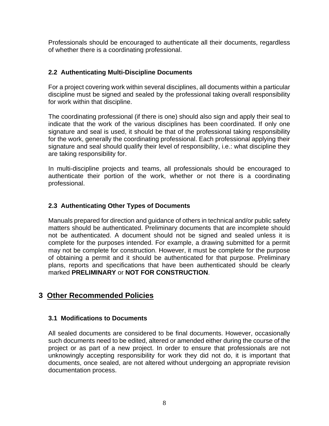Professionals should be encouraged to authenticate all their documents, regardless of whether there is a coordinating professional.

## **2.2 Authenticating Multi-Discipline Documents**

For a project covering work within several disciplines, all documents within a particular discipline must be signed and sealed by the professional taking overall responsibility for work within that discipline.

The coordinating professional (if there is one) should also sign and apply their seal to indicate that the work of the various disciplines has been coordinated. If only one signature and seal is used, it should be that of the professional taking responsibility for the work, generally the coordinating professional. Each professional applying their signature and seal should qualify their level of responsibility, i.e.: what discipline they are taking responsibility for.

In multi-discipline projects and teams, all professionals should be encouraged to authenticate their portion of the work, whether or not there is a coordinating professional.

## **2.3 Authenticating Other Types of Documents**

Manuals prepared for direction and guidance of others in technical and/or public safety matters should be authenticated. Preliminary documents that are incomplete should not be authenticated. A document should not be signed and sealed unless it is complete for the purposes intended. For example, a drawing submitted for a permit may not be complete for construction. However, it must be complete for the purpose of obtaining a permit and it should be authenticated for that purpose. Preliminary plans, reports and specifications that have been authenticated should be clearly marked **PRELIMINARY** or **NOT FOR CONSTRUCTION**.

## **3 Other Recommended Policies**

## **3.1 Modifications to Documents**

All sealed documents are considered to be final documents. However, occasionally such documents need to be edited, altered or amended either during the course of the project or as part of a new project. In order to ensure that professionals are not unknowingly accepting responsibility for work they did not do, it is important that documents, once sealed, are not altered without undergoing an appropriate revision documentation process.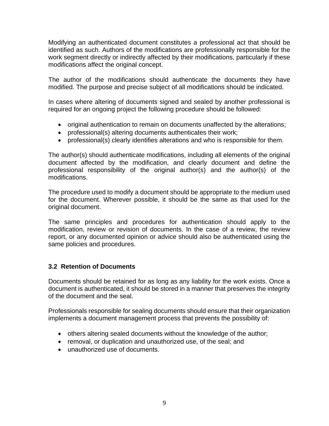Modifying an authenticated document constitutes a professional act that should be identified as such. Authors of the modifications are professionally responsible for the work segment directly or indirectly affected by their modifications, particularly if these modifications affect the original concept.

The author of the modifications should authenticate the documents they have modified. The purpose and precise subject of all modifications should be indicated.

In cases where altering of documents signed and sealed by another professional is required for an ongoing project the following procedure should be followed:

- original authentication to remain on documents unaffected by the alterations;
- professional(s) altering documents authenticates their work;
- professional(s) clearly identifies alterations and who is responsible for them.

The author(s) should authenticate modifications, including all elements of the original document affected by the modification, and clearly document and define the professional responsibility of the original author(s) and the author(s) of the modifications.

The procedure used to modify a document should be appropriate to the medium used for the document. Wherever possible, it should be the same as that used for the original document.

The same principles and procedures for authentication should apply to the modification, review or revision of documents. In the case of a review, the review report, or any documented opinion or advice should also be authenticated using the same policies and procedures.

## **3.2 Retention of Documents**

Documents should be retained for as long as any liability for the work exists. Once a document is authenticated, it should be stored in a manner that preserves the integrity of the document and the seal.

Professionals responsible for sealing documents should ensure that their organization implements a document management process that prevents the possibility of:

- others altering sealed documents without the knowledge of the author;
- removal, or duplication and unauthorized use, of the seal; and
- unauthorized use of documents.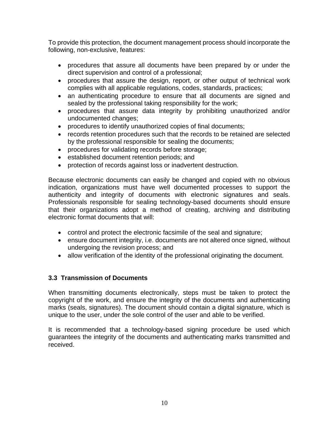To provide this protection, the document management process should incorporate the following, non-exclusive, features:

- procedures that assure all documents have been prepared by or under the direct supervision and control of a professional;
- procedures that assure the design, report, or other output of technical work complies with all applicable regulations, codes, standards, practices;
- an authenticating procedure to ensure that all documents are signed and sealed by the professional taking responsibility for the work;
- procedures that assure data integrity by prohibiting unauthorized and/or undocumented changes;
- procedures to identify unauthorized copies of final documents;
- records retention procedures such that the records to be retained are selected by the professional responsible for sealing the documents;
- procedures for validating records before storage;
- established document retention periods; and
- protection of records against loss or inadvertent destruction.

Because electronic documents can easily be changed and copied with no obvious indication, organizations must have well documented processes to support the authenticity and integrity of documents with electronic signatures and seals. Professionals responsible for sealing technology-based documents should ensure that their organizations adopt a method of creating, archiving and distributing electronic format documents that will:

- control and protect the electronic facsimile of the seal and signature;
- ensure document integrity, i.e. documents are not altered once signed, without undergoing the revision process; and
- allow verification of the identity of the professional originating the document.

## **3.3 Transmission of Documents**

When transmitting documents electronically, steps must be taken to protect the copyright of the work, and ensure the integrity of the documents and authenticating marks (seals, signatures). The document should contain a digital signature, which is unique to the user, under the sole control of the user and able to be verified.

It is recommended that a technology-based signing procedure be used which guarantees the integrity of the documents and authenticating marks transmitted and received.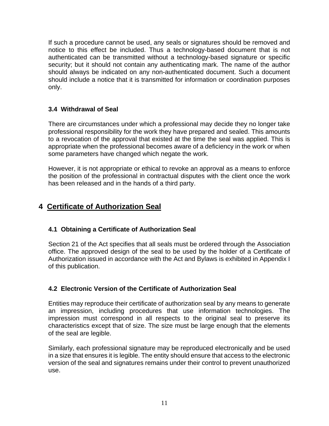If such a procedure cannot be used, any seals or signatures should be removed and notice to this effect be included. Thus a technology-based document that is not authenticated can be transmitted without a technology-based signature or specific security; but it should not contain any authenticating mark. The name of the author should always be indicated on any non-authenticated document. Such a document should include a notice that it is transmitted for information or coordination purposes only.

## **3.4 Withdrawal of Seal**

There are circumstances under which a professional may decide they no longer take professional responsibility for the work they have prepared and sealed. This amounts to a revocation of the approval that existed at the time the seal was applied. This is appropriate when the professional becomes aware of a deficiency in the work or when some parameters have changed which negate the work.

However, it is not appropriate or ethical to revoke an approval as a means to enforce the position of the professional in contractual disputes with the client once the work has been released and in the hands of a third party.

## **4 Certificate of Authorization Seal**

## **4.1 Obtaining a Certificate of Authorization Seal**

Section 21 of the Act specifies that all seals must be ordered through the Association office. The approved design of the seal to be used by the holder of a Certificate of Authorization issued in accordance with the Act and Bylaws is exhibited in Appendix I of this publication.

## **4.2 Electronic Version of the Certificate of Authorization Seal**

Entities may reproduce their certificate of authorization seal by any means to generate an impression, including procedures that use information technologies. The impression must correspond in all respects to the original seal to preserve its characteristics except that of size. The size must be large enough that the elements of the seal are legible.

Similarly, each professional signature may be reproduced electronically and be used in a size that ensures it is legible. The entity should ensure that access to the electronic version of the seal and signatures remains under their control to prevent unauthorized use.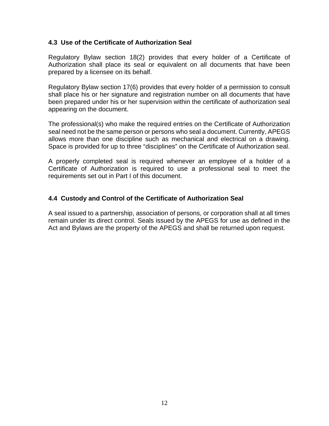#### **4.3 Use of the Certificate of Authorization Seal**

Regulatory Bylaw section 18(2) provides that every holder of a Certificate of Authorization shall place its seal or equivalent on all documents that have been prepared by a licensee on its behalf.

Regulatory Bylaw section 17(6) provides that every holder of a permission to consult shall place his or her signature and registration number on all documents that have been prepared under his or her supervision within the certificate of authorization seal appearing on the document.

The professional(s) who make the required entries on the Certificate of Authorization seal need not be the same person or persons who seal a document. Currently, APEGS allows more than one discipline such as mechanical and electrical on a drawing. Space is provided for up to three "disciplines" on the Certificate of Authorization seal.

A properly completed seal is required whenever an employee of a holder of a Certificate of Authorization is required to use a professional seal to meet the requirements set out in Part I of this document.

#### **4.4 Custody and Control of the Certificate of Authorization Seal**

A seal issued to a partnership, association of persons, or corporation shall at all times remain under its direct control. Seals issued by the APEGS for use as defined in the Act and Bylaws are the property of the APEGS and shall be returned upon request.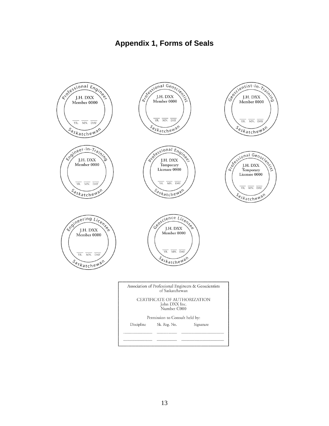